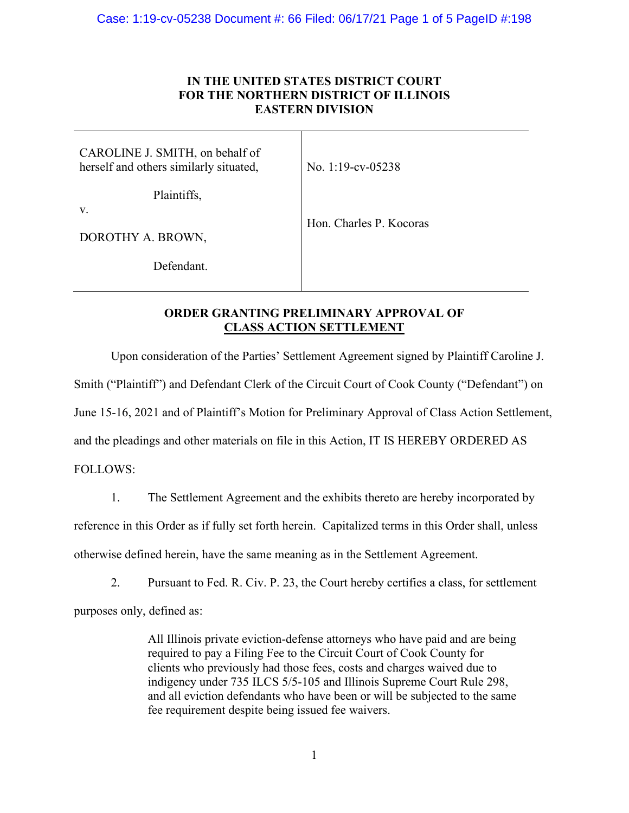## **IN THE UNITED STATES DISTRICT COURT FOR THE NORTHERN DISTRICT OF ILLINOIS EASTERN DIVISION**

| CAROLINE J. SMITH, on behalf of<br>herself and others similarly situated, | No. 1:19-cv-05238       |
|---------------------------------------------------------------------------|-------------------------|
| Plaintiffs,<br>V.                                                         |                         |
| DOROTHY A. BROWN,                                                         | Hon. Charles P. Kocoras |
| Defendant.                                                                |                         |

# **ORDER GRANTING PRELIMINARY APPROVAL OF CLASS ACTION SETTLEMENT**

Upon consideration of the Parties' Settlement Agreement signed by Plaintiff Caroline J.

Smith ("Plaintiff") and Defendant Clerk of the Circuit Court of Cook County ("Defendant") on

June 15-16, 2021 and of Plaintiff's Motion for Preliminary Approval of Class Action Settlement,

and the pleadings and other materials on file in this Action, IT IS HEREBY ORDERED AS

FOLLOWS:

1. The Settlement Agreement and the exhibits thereto are hereby incorporated by

reference in this Order as if fully set forth herein. Capitalized terms in this Order shall, unless

otherwise defined herein, have the same meaning as in the Settlement Agreement.

2. Pursuant to Fed. R. Civ. P. 23, the Court hereby certifies a class, for settlement

purposes only, defined as:

All Illinois private eviction-defense attorneys who have paid and are being required to pay a Filing Fee to the Circuit Court of Cook County for clients who previously had those fees, costs and charges waived due to indigency under 735 ILCS 5/5-105 and Illinois Supreme Court Rule 298, and all eviction defendants who have been or will be subjected to the same fee requirement despite being issued fee waivers.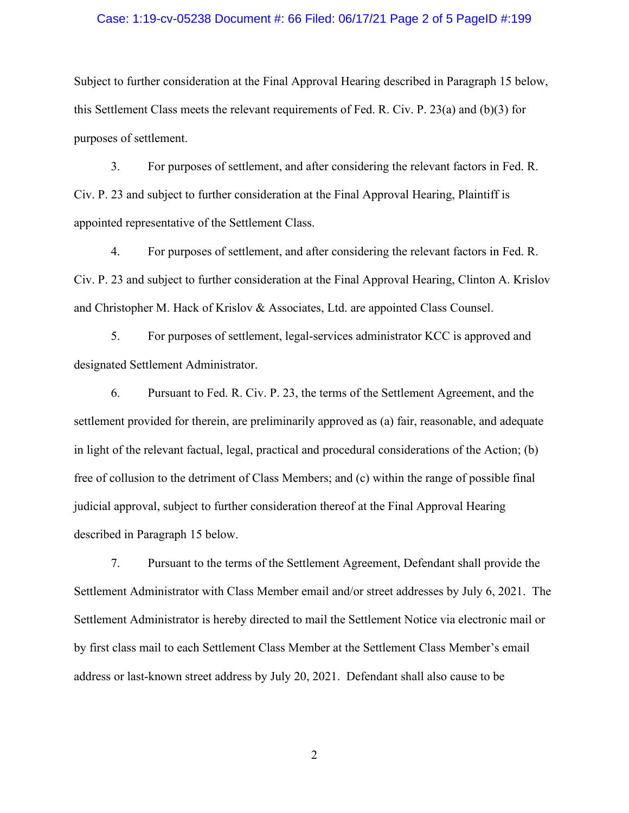#### Case: 1:19-cv-05238 Document #: 66 Filed: 06/17/21 Page 2 of 5 PageID #:199

Subject to further consideration at the Final Approval Hearing described in Paragraph 15 below, this Settlement Class meets the relevant requirements of Fed. R. Civ. P. 23(a) and (b)(3) for purposes of settlement.

3. For purposes of settlement, and after considering the relevant factors in Fed. R. Civ. P. 23 and subject to further consideration at the Final Approval Hearing, Plaintiff is appointed representative of the Settlement Class.

4. For purposes of settlement, and after considering the relevant factors in Fed. R. Civ. P. 23 and subject to further consideration at the Final Approval Hearing, Clinton A. Krislov and Christopher M. Hack of Krislov & Associates, Ltd. are appointed Class Counsel.

5. For purposes of settlement, legal-services administrator KCC is approved and designated Settlement Administrator.

6. Pursuant to Fed. R. Civ. P. 23, the terms of the Settlement Agreement, and the settlement provided for therein, are preliminarily approved as (a) fair, reasonable, and adequate in light of the relevant factual, legal, practical and procedural considerations of the Action; (b) free of collusion to the detriment of Class Members; and (c) within the range of possible final judicial approval, subject to further consideration thereof at the Final Approval Hearing described in Paragraph 15 below.

7. Pursuant to the terms of the Settlement Agreement, Defendant shall provide the Settlement Administrator with Class Member email and/or street addresses by July 6, 2021. The Settlement Administrator is hereby directed to mail the Settlement Notice via electronic mail or by first class mail to each Settlement Class Member at the Settlement Class Member's email address or last-known street address by July 20, 2021. Defendant shall also cause to be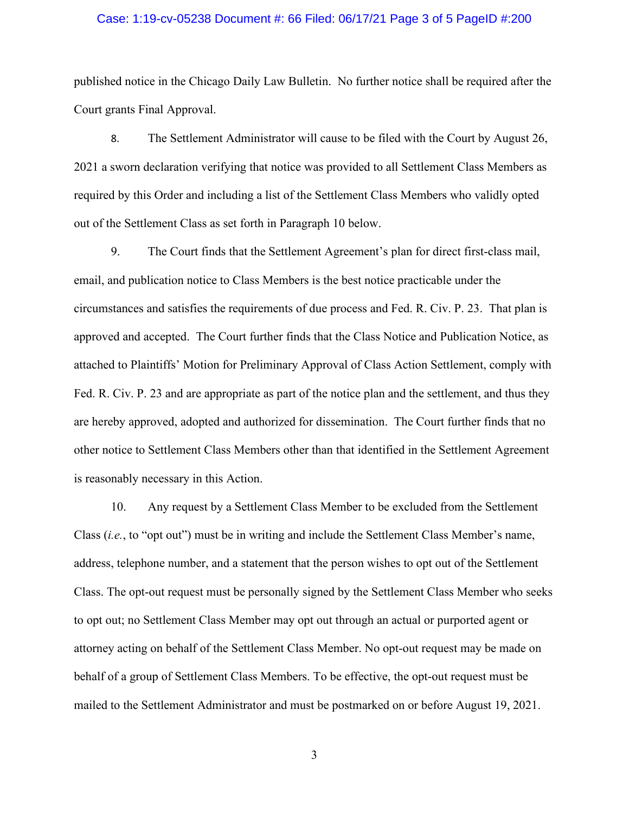#### Case: 1:19-cv-05238 Document #: 66 Filed: 06/17/21 Page 3 of 5 PageID #:200

published notice in the Chicago Daily Law Bulletin. No further notice shall be required after the Court grants Final Approval.

8. The Settlement Administrator will cause to be filed with the Court by August 26, 2021 a sworn declaration verifying that notice was provided to all Settlement Class Members as required by this Order and including a list of the Settlement Class Members who validly opted out of the Settlement Class as set forth in Paragraph 10 below.

9. The Court finds that the Settlement Agreement's plan for direct first-class mail, email, and publication notice to Class Members is the best notice practicable under the circumstances and satisfies the requirements of due process and Fed. R. Civ. P. 23. That plan is approved and accepted. The Court further finds that the Class Notice and Publication Notice, as attached to Plaintiffs' Motion for Preliminary Approval of Class Action Settlement, comply with Fed. R. Civ. P. 23 and are appropriate as part of the notice plan and the settlement, and thus they are hereby approved, adopted and authorized for dissemination. The Court further finds that no other notice to Settlement Class Members other than that identified in the Settlement Agreement is reasonably necessary in this Action.

10. Any request by a Settlement Class Member to be excluded from the Settlement Class (*i.e.*, to "opt out") must be in writing and include the Settlement Class Member's name, address, telephone number, and a statement that the person wishes to opt out of the Settlement Class. The opt-out request must be personally signed by the Settlement Class Member who seeks to opt out; no Settlement Class Member may opt out through an actual or purported agent or attorney acting on behalf of the Settlement Class Member. No opt-out request may be made on behalf of a group of Settlement Class Members. To be effective, the opt-out request must be mailed to the Settlement Administrator and must be postmarked on or before August 19, 2021.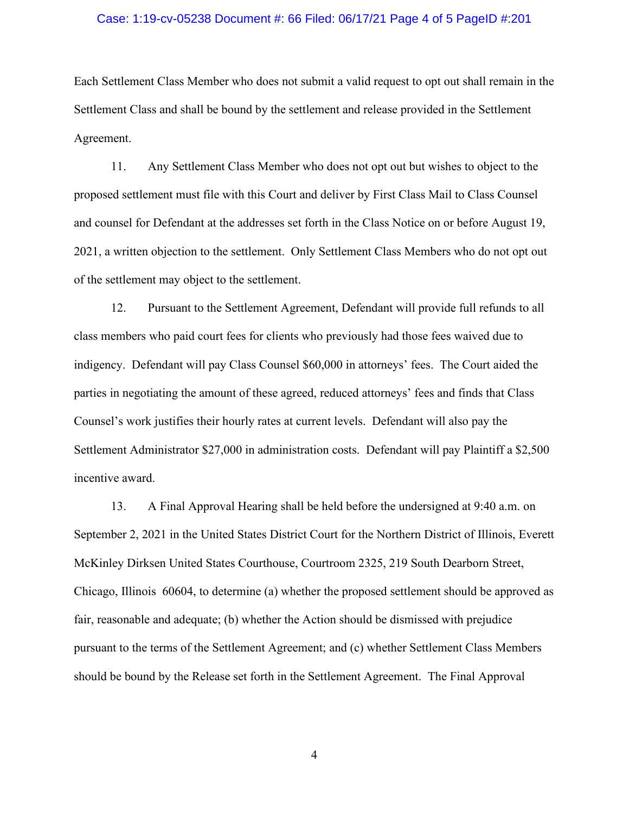#### Case: 1:19-cv-05238 Document #: 66 Filed: 06/17/21 Page 4 of 5 PageID #:201

Each Settlement Class Member who does not submit a valid request to opt out shall remain in the Settlement Class and shall be bound by the settlement and release provided in the Settlement Agreement.

11. Any Settlement Class Member who does not opt out but wishes to object to the proposed settlement must file with this Court and deliver by First Class Mail to Class Counsel and counsel for Defendant at the addresses set forth in the Class Notice on or before August 19, 2021, a written objection to the settlement. Only Settlement Class Members who do not opt out of the settlement may object to the settlement.

12. Pursuant to the Settlement Agreement, Defendant will provide full refunds to all class members who paid court fees for clients who previously had those fees waived due to indigency. Defendant will pay Class Counsel \$60,000 in attorneys' fees. The Court aided the parties in negotiating the amount of these agreed, reduced attorneys' fees and finds that Class Counsel's work justifies their hourly rates at current levels. Defendant will also pay the Settlement Administrator \$27,000 in administration costs. Defendant will pay Plaintiff a \$2,500 incentive award.

13. A Final Approval Hearing shall be held before the undersigned at 9:40 a.m. on September 2, 2021 in the United States District Court for the Northern District of Illinois, Everett McKinley Dirksen United States Courthouse, Courtroom 2325, 219 South Dearborn Street, Chicago, Illinois 60604, to determine (a) whether the proposed settlement should be approved as fair, reasonable and adequate; (b) whether the Action should be dismissed with prejudice pursuant to the terms of the Settlement Agreement; and (c) whether Settlement Class Members should be bound by the Release set forth in the Settlement Agreement. The Final Approval